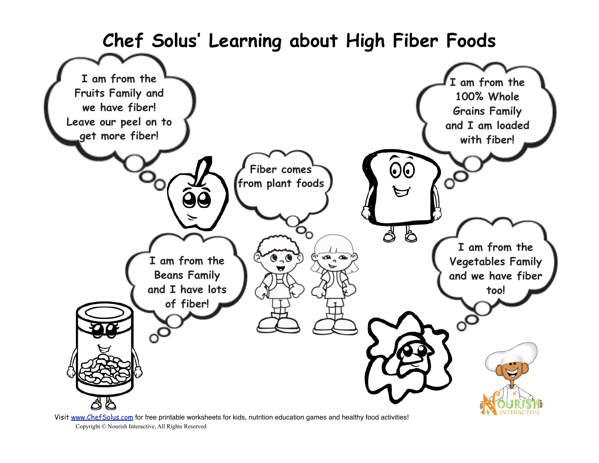

Copyright © Nourish Interactive, All Rights Reserved